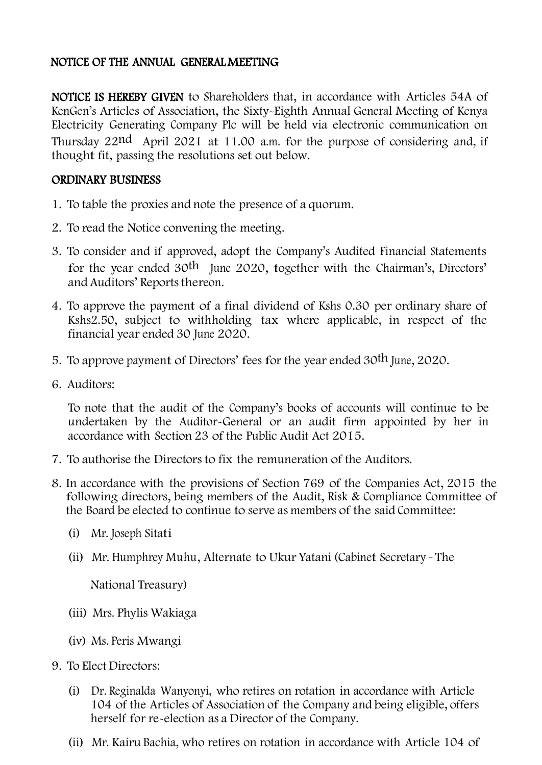## NOTICE OF THE ANNUAL GENERAL MEETING

NOTICE IS HEREBY GIVEN to Shareholders that, in accordance with Articles 54A of KenGen's Articles of Association, the Sixty-Eighth Annual General Meeting of Kenya Electricity Generating Company Plc will be held via electronic communication on Thursday 22nd April 2021 at 11.00 a.m. for the purpose of considering and, if thought fit, passing the resolutions set out below.

## ORDINARY BUSINESS

- 1. To table the proxies and note the presence of a quorum.
- 2. To read the Notice convening the meeting.
- 3. To consider and if approved, adopt the Company's Audited Financial Statements for the year ended 30th June 2020, together with the Chairman's, Directors' and Auditors' Reports thereon.
- 4. To approve the payment of a final dividend of Kshs 0.30 per ordinary share of Kshs2.50, subject to withholding tax where applicable, in respect of the financial year ended 30 June 2020.
- 5. To approve payment of Directors' fees for the year ended 30th June, 2020.
- 6. Auditors:

To note that the audit of the Company's books of accounts will continue to be undertaken by the Auditor-General or an audit firm appointed by her in accordance with Section 23 of the Public Audit Act 2015.

- 7. To authorise the Directors to fix the remuneration of the Auditors.
- 8. In accordance with the provisions of Section 769 of the Companies Act, 2015 the following directors, being members of the Audit, Risk & Compliance Committee of the Board be elected to continue to serve as members of the said Committee:
	- (i) Mr. Joseph Sitati
	- (ii) Mr. Humphrey Muhu, Alternate to Ukur Yatani (Cabinet Secretary The

National Treasury)

- (iii) Mrs. Phylis Wakiaga
- (iv) Ms. Peris Mwangi
- 9. To Elect Directors:
	- (i) Dr. Reginalda Wanyonyi, who retires on rotation in accordance with Article 104 of the Articles of Association of the Company and being eligible, offers herself for re-election as a Director of the Company.
	- (ii) Mr. Kairu Bachia, who retires on rotation in accordance with Article 104 of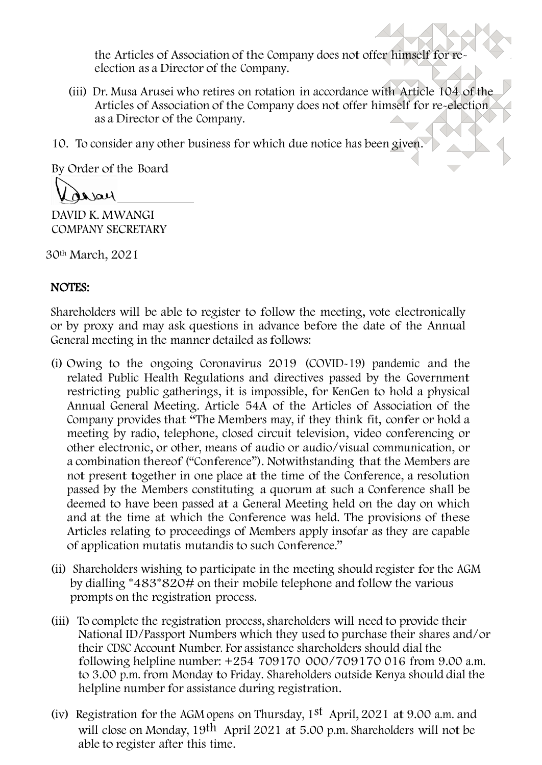the Articles of Association of the Company does not offer himself for reelection as a Director of the Company.

- (iii) Dr. Musa Arusei who retires on rotation in accordance with Article 104 of the Articles of Association of the Company does not offer himself for re-election as a Director of the Company.
- 10. To consider any other business for which due notice has been given.

By Order of the Board

Nela

DAVID K. MWANGI COMPANY SECRETARY

30th March, 2021

## NOTES:

Shareholders will be able to register to follow the meeting, vote electronically or by proxy and may ask questions in advance before the date of the Annual General meeting in the manner detailed as follows:

- (i) Owing to the ongoing Coronavirus 2019 (COVID-19) pandemic and the related Public Health Regulations and directives passed by the Government restricting public gatherings, it is impossible, for KenGen to hold a physical Annual General Meeting. Article 54A of the Articles of Association of the Company provides that "The Members may, if they think fit, confer or hold a meeting by radio, telephone, closed circuit television, video conferencing or other electronic, or other, means of audio or audio/visual communication, or a combination thereof ("Conference"). Notwithstanding that the Members are not present together in one place at the time of the Conference, a resolution passed by the Members constituting a quorum at such a Conference shall be deemed to have been passed at a General Meeting held on the day on which and at the time at which the Conference was held. The provisions of these Articles relating to proceedings of Members apply insofar as they are capable of application mutatis mutandis to such Conference."
- (ii) Shareholders wishing to participate in the meeting should register for the AGM by dialling \*483\*820# on their mobile telephone and follow the various prompts on the registration process.
- (iii) To complete the registration process, shareholders will need to provide their National ID/Passport Numbers which they used to purchase their shares and/or their CDSC Account Number. For assistance shareholders should dial the following helpline number: +254 709170 000/709170 016 from 9.00 a.m. to 3.00 p.m. from Monday to Friday. Shareholders outside Kenya should dial the helpline number for assistance during registration.
- (iv) Registration for the AGM opens on Thursday,  $1<sup>st</sup>$  April, 2021 at 9.00 a.m. and will close on Monday, 19th April 2021 at 5.00 p.m. Shareholders will not be able to register after this time.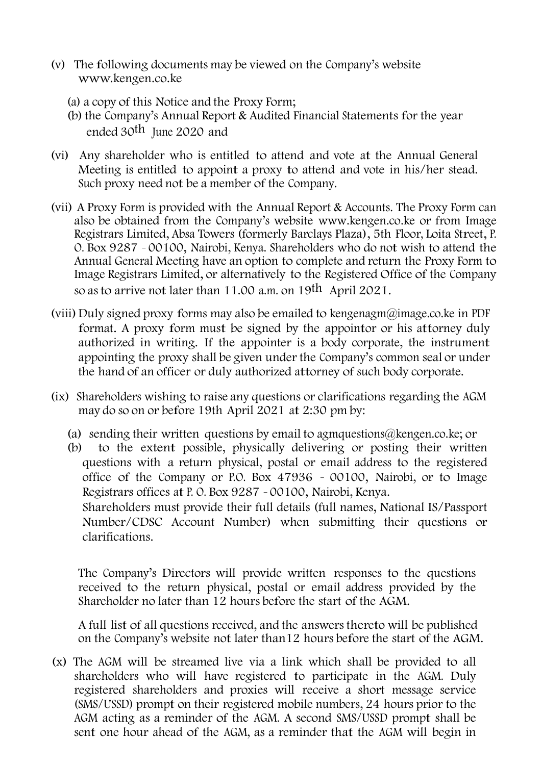- (v) The following documents may be viewed on the Company's website [www.kengen.co.ke](http://www.kengen.co.ke/)
	- (a) a copy of this Notice and the Proxy Form;
	- (b) the Company's Annual Report & Audited Financial Statements for the year ended 30th June 2020 and
- (vi) Any shareholder who is entitled to attend and vote at the Annual General Meeting is entitled to appoint a proxy to attend and vote in his/her stead. Such proxy need not be a member of the Company.
- (vii) A Proxy Form is provided with the Annual Report & Accounts. The Proxy Form can also be obtained from the Company's website [www.kengen.co.ke](http://www.kengen.co.ke/) or from Image Registrars Limited, Absa Towers (formerly Barclays Plaza), 5th Floor, Loita Street, P. O. Box 9287 – 00100, Nairobi, Kenya. Shareholders who do not wish to attend the Annual General Meeting have an option to complete and return the Proxy Form to Image Registrars Limited, or alternatively to the Registered Office of the Company so as to arrive not later than 11.00 a.m. on 19<sup>th</sup> April 2021.
- (viii) Duly signed proxy forms may also be emailed to [kengenagm@image.co.ke](mailto:kengenagm@image.co.ke) in PDF format. A proxy form must be signed by the appointor or his attorney duly authorized in writing. If the appointer is a body corporate, the instrument appointing the proxy shall be given under the Company's common seal or under the hand of an officer or duly authorized attorney of such body corporate.
- (ix) Shareholders wishing to raise any questions or clarifications regarding the AGM may do so on or before 19th April 2021 at 2:30 pm by:
	- (a) sending their written questions by email to agmanterions  $@k$  engen.co.ke; or
	- (b) to the extent possible, physically delivering or posting their written questions with a return physical, postal or email address to the registered office of the Company or P.O. Box 47936 – 00100, Nairobi, or to Image Registrars offices at P. O. Box 9287 – 00100, Nairobi, Kenya. Shareholders must provide their full details (full names, National IS/Passport Number/CDSC Account Number) when submitting their questions or clarifications.

The Company's Directors will provide written responses to the questions received to the return physical, postal or email address provided by the Shareholder no later than 12 hours before the start of the AGM.

A full list of all questions received, and the answers thereto will be published on the Company's website not later than12 hours before the start of the AGM.

(x) The AGM will be streamed live via a link which shall be provided to all shareholders who will have registered to participate in the AGM. Duly registered shareholders and proxies will receive a short message service (SMS/USSD) prompt on their registered mobile numbers, 24 hours prior to the AGM acting as a reminder of the AGM. A second SMS/USSD prompt shall be sent one hour ahead of the AGM, as a reminder that the AGM will begin in